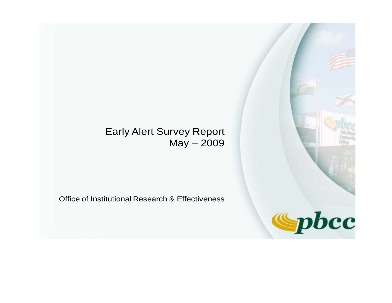# Early Alert Survey Report May – 2009

Office of Institutional Research & Effectiveness

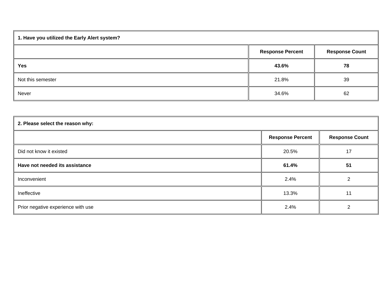| 1. Have you utilized the Early Alert system? |                         |                       |
|----------------------------------------------|-------------------------|-----------------------|
|                                              | <b>Response Percent</b> | <b>Response Count</b> |
| <b>Yes</b>                                   | 43.6%                   | 78                    |
| Not this semester                            | 21.8%                   | 39                    |
| Never                                        | 34.6%                   | 62                    |

| 2. Please select the reason why:   |                         |                       |  |
|------------------------------------|-------------------------|-----------------------|--|
|                                    | <b>Response Percent</b> | <b>Response Count</b> |  |
| Did not know it existed            | 20.5%                   | 17                    |  |
| Have not needed its assistance     | 61.4%                   | 51                    |  |
| Inconvenient                       | 2.4%                    | ົ                     |  |
| Ineffective                        | 13.3%                   | 11                    |  |
| Prior negative experience with use | 2.4%                    |                       |  |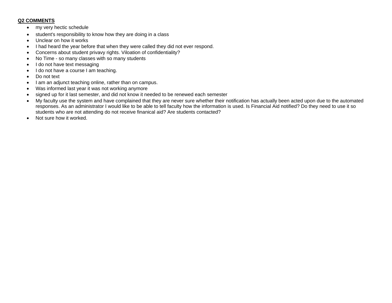### **Q2 COMMENTS**

- my very hectic schedule
- student's responsibility to know how they are doing in a class
- Unclear on how it works
- I had heard the year before that when they were called they did not ever respond.
- Concerns about student privavy rights. Viloation of confidentiality?
- No Time so many classes with so many students
- I do not have text messaging
- I do not have a course I am teaching.
- Do not text
- I am an adjunct teaching online, rather than on campus.
- Was informed last year it was not working anymore
- signed up for it last semester, and did not know it needed to be renewed each semester
- My faculty use the system and have complained that they are never sure whether their notification has actually been acted upon due to the automated responses. As an administrator I would like to be able to tell faculty how the information is used. Is Financial Aid notified? Do they need to use it so students who are not attending do not receive finanical aid? Are students contacted?
- Not sure how it worked.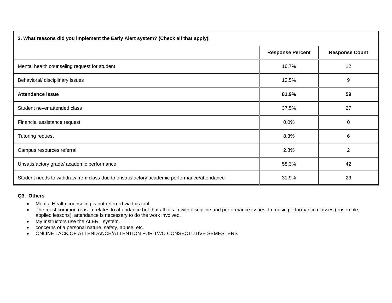| 3. What reasons did you implement the Early Alert system? (Check all that apply).          |                         |                       |
|--------------------------------------------------------------------------------------------|-------------------------|-----------------------|
|                                                                                            | <b>Response Percent</b> | <b>Response Count</b> |
| Mental health counseling request for student                                               | 16.7%                   | 12                    |
| Behavioral/ disciplinary issues                                                            | 12.5%                   | 9                     |
| <b>Attendance issue</b>                                                                    | 81.9%                   | 59                    |
| Student never attended class                                                               | 37.5%                   | 27                    |
| Financial assistance request                                                               | 0.0%                    | $\Omega$              |
| Tutoring request                                                                           | 8.3%                    | 6                     |
| Campus resources referral                                                                  | 2.8%                    | 2                     |
| Unsatisfactory grade/academic performance                                                  | 58.3%                   | 42                    |
| Student needs to withdraw from class due to unsatisfactory academic performance/attendance | 31.9%                   | 23                    |

## **Q3. Others**

- Mental Health counseling is not referred via this tool
- The most common reason relates to attendance but that all ties in with discipline and performance issues. In music performance classes (ensemble, applied lessons), attendance is necessary to do the work involved.
- My Instructors use the ALERT system.
- concerns of a personal nature, safety, abuse, etc.
- ONLINE LACK OF ATTENDANCE/ATTENTION FOR TWO CONSECTUTIVE SEMESTERS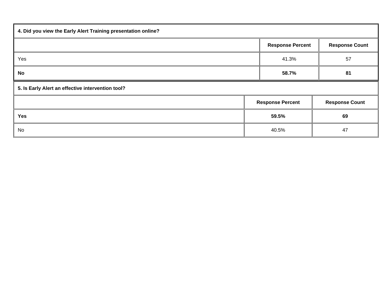| 4. Did you view the Early Alert Training presentation online? |  |                         |                       |
|---------------------------------------------------------------|--|-------------------------|-----------------------|
|                                                               |  | <b>Response Percent</b> | <b>Response Count</b> |
| Yes                                                           |  | 41.3%                   | 57                    |
| No                                                            |  | 58.7%                   | 81                    |
| 5. Is Early Alert an effective intervention tool?             |  |                         |                       |
|                                                               |  | <b>Response Percent</b> | <b>Response Count</b> |
| <b>Yes</b>                                                    |  | 59.5%                   | 69                    |
| No                                                            |  | 40.5%                   | 47                    |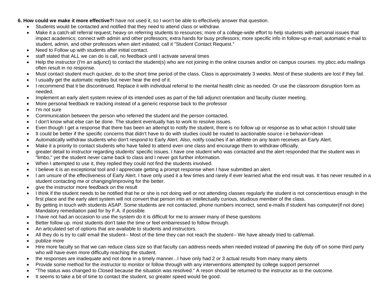#### **6. How could we make it more effective?**I have not used it, so I won't be able to effectively answer that question.

- Students would be contacted and notified that they need to attend class or withdraw.
- Make it a catch-all referral request; heavy on referring students to resources; more of a college-wide effort to help students with personal issues that impact academics; connect with admin and other professors; extra hands for busy professors; more specific info in follow-up e-mail; automatic e-mail to student, admin, and other professors when alert initiated; call it "Student Contact Request."
- Need to Follow up with students after initial contact.
- staff stated that ALL we can do is call, no feedback until I activate several times
- Help the instructor (I'm an adjunct) to contact the student(s) who are not joining in the online courses and/or on campus courses. my.pbcc.edu mailings often result in no response.
- Must contact student much quicker, do to the short time period of the class. Class is approximately 3 weeks. Most of these students are lost if they fail.
- I usually get the automatic replies but never hear the end of it.
- I recommend that it be discontinued. Replace it with individual referral to the mental health clinic as needed. Or use the classroom disruption form as needed.
- Implement an early alert system review of its intended uses as part of the fall adjunct orientation and faculty cluster meeting.
- More personal feedback re tracking instead of a generic response back to the professor
- I'm not sure
- Communication between the person who referred the student and the person contacted.
- I don't know what else can be done. The student eventually has to work to resolve issues.
- Even though I get a response that there has been an attempt to notify the student, there is no follow up or response as to what action I should take
- It could be better if the specific concerns that didn't have to do with studies could be routed to aactionable source i e behavior=dean
- Automatically withdraw students who don't respond to Early Alert. Also, notify coaches if an athlete on any team receives an Early Alert.
- Make it a priority to contact students who have failed to attend even one class and encourage them to withdraw officially.
- greater detail to instructor regarding students' specific issues. I have one student who was contacted and the alert responded that the student was in "limbo," yet the student never came back to class and I never got further information.
- When I attempted to use it, they replied they could not find the students involved.
- I believe it is an exceptional tool and I appreciate getting a prompt response when I have submitted an alert.
- I am unsure of the effectiveness of Early Alert. I have only used it a few times and rarely if ever learned what the end result was. It has never resulted in a student contacting me or changing/improving for the better.
- give the instructor more feedback on the result
- I think if the student needs to be notified that he or she is not doing well or not attending classes regularly the student is not conscientious enough in the first place and the early alert system will not convert that person into an intellectually curious, studious member of the class.
- By getting in touch with students ASAP. Some students are not contacted, phone numbers incorrect, send e-mails if student has computer(if not done) Mandatory remediation paid for by F.A. if possible.
- I have not had an occasion to use the system do it is difficult for me to answer many of these questions
- Better follow up. most students don't take the time or feel embarressed to follow through.
- An articulated set of options that are available to students and instructors.
- All they do is try to call/ email the student-- Most of the time they can not reach the student-- We have already tried to call/email.
- publize more
- Hire more faculty so that we can reduce class size so that faculty can address needs when needed instead of pawning the duty off on some third party who will have even more difficulty reaching the student.
- the responses are inadequate and not done in a timely manner...I have only had 2 or 3 actual results from many many alerts
- Provide some method for the instructor to monitor or follow through with any interventions attempted by college support personnel
- "The status was changed to Closed because the situation was resolved." A reson should be returned to the instructor as to the outcome.
- It seems to take a bit of time to contact the student, so greater speed would be good.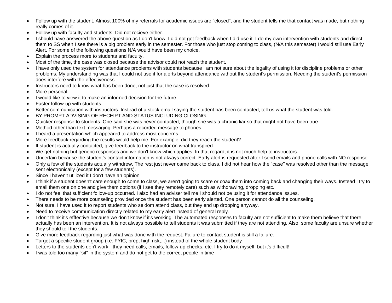- Follow up with the student. Almost 100% of my referrals for academic issues are "closed", and the student tells me that contact was made, but nothing really comes of it.
- Follow up with faculty and students. Did not recieve either.
- I should have answered the above question as I don't know. I did not get feedback when I did use it. I do my own intervention with students and direct them to SS when I see there is a big problem early in the semester. For those who just stop coming to class, (N/A this semester) I would still use Early Alert. For some of the following questions N/A would have been my choice.
- Explain the process more to students and faculty.
- Most of the time, the case was closed because the advisor could not reach the student.
- I have only used the system for attendance problems with students because I am not sure about the legality of using it for discipline problems or other problems. My understanding was that I could not use it for alerts beyond attendance without the student's permission. Needing the student's permission does interfere with the effectiveness.
- Instructors need to know what has been done, not just that the case is resolved.
- More personal
- I would like to view it to make an informed decision for the future.
- Faster follow-up with students.
- Better communication with instructors. Instead of a stock email saying the student has been contacted, tell us what the student was told.
- BY PROMPT ADVISING OF RECEIPT AND STATUS INCLUDING CLOSING.
- Quicker response to students. One said she was never contacted, though she was a chronic liar so that might not have been true.
- Method other than text messaging. Perhaps a recorded message to phones.
- I heard a presentation which appeared to address most concerns.
- More feedback regarding the results would help me. For example: did they reach the student?
- If student is actually contacted, give feedback to the instructor on what transpired.
- We get nothing but generic responses and we don't know which applies. In that regard, it is not much help to instructors.
- Uncertain because the student's contact information is not always correct. Early alert is requested after I send emails and phone calls with NO response.
- Only a few of the students actually withdrew. The rest just never came back to class. I did not hear how the "case" was resolved other than the message sent electronically (except for a few students).
- Since I haven't utilized it I don't have an opinion
- I think if a student doesn't care enough to come to class, we aren't going to scare or coax them into coming back and changing their ways. Instead I try to email them one on one and give them options (if I see they remotely care) such as withdrawing, dropping etc.
- I do not feel that sufficient follow-up occurred. I also had an adviser tell me I should not be using it for attendance issues.
- There needs to be more counseling provided once the student has been early alerted. One person cannot do all the counseling.
- Not sure. I have used it to report students who seldom attend class, but they end up dropping anyway.
- Need to receive communication directly related to my early alert instead of general reply.
- I don't think it's efffective because we don't know if it's working. The automated responses to faculty are not sufficient to make them believe that there actually has been an intervention. It is not always possible to tell students it was submitted if they are not attending. Also, some faculty are unsure whether they should tell the students.
- Give more feedback regarding just what was done with the request. Failure to contact student is still a failure.
- Target a specific student group (i.e. FYIC, prep, high risk,...) instead of the whole student body
- Letters to the students don't work they need calls, emails, follow-up checks, etc. I try to do it myself, but it's difficult!
- I was told too many "sit" in the system and do not get to the correct people in time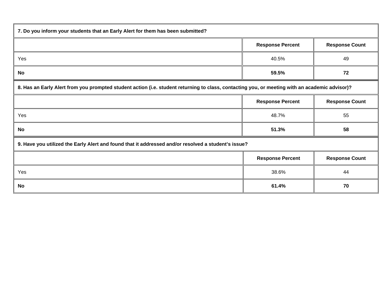| 7. Do you inform your students that an Early Alert for them has been submitted?                                                                |                         |                       |
|------------------------------------------------------------------------------------------------------------------------------------------------|-------------------------|-----------------------|
|                                                                                                                                                | <b>Response Percent</b> | <b>Response Count</b> |
| Yes                                                                                                                                            | 40.5%                   | 49                    |
| No                                                                                                                                             | 59.5%                   | 72                    |
| 8. Has an Early Alert from you prompted student action (i.e. student returning to class, contacting you, or meeting with an academic advisor)? |                         |                       |
|                                                                                                                                                | <b>Response Percent</b> | <b>Response Count</b> |
| Yes                                                                                                                                            | 48.7%                   | 55                    |
| No                                                                                                                                             | 51.3%                   | 58                    |
| 9. Have you utilized the Early Alert and found that it addressed and/or resolved a student's issue?                                            |                         |                       |
|                                                                                                                                                | <b>Response Percent</b> | <b>Response Count</b> |
| Yes                                                                                                                                            | 38.6%                   | 44                    |
| <b>No</b>                                                                                                                                      | 61.4%                   | 70                    |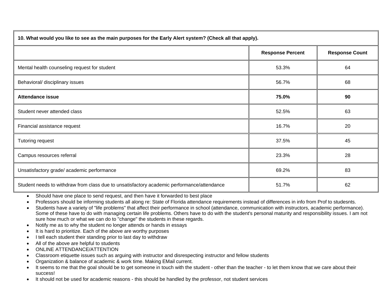| 10. What would you like to see as the main purposes for the Early Alert system? (Check all that apply). |                         |                       |
|---------------------------------------------------------------------------------------------------------|-------------------------|-----------------------|
|                                                                                                         | <b>Response Percent</b> | <b>Response Count</b> |
| Mental health counseling request for student                                                            | 53.3%                   | 64                    |
| Behavioral/ disciplinary issues                                                                         | 56.7%                   | 68                    |
| <b>Attendance issue</b>                                                                                 | 75.0%                   | 90                    |
| Student never attended class                                                                            | 52.5%                   | 63                    |
| Financial assistance request                                                                            | 16.7%                   | 20                    |
| Tutoring request                                                                                        | 37.5%                   | 45                    |
| Campus resources referral                                                                               | 23.3%                   | 28                    |
| Unsatisfactory grade/academic performance                                                               | 69.2%                   | 83                    |
| Student needs to withdraw from class due to unsatisfactory academic performance/attendance              | 51.7%                   | 62                    |

- Should have one place to send request, and then have it forwarded to best place
- Professors should be informing students all along re: State of Florida attendance requirements instead of differences in info from Prof to studesnts.
- Students have a variety of "life problems" that affect their performance in school (attendance, communication with instructors, academic performance). Some of these have to do with managing certain life problems. Others have to do with the student's personal maturity and responsibility issues. I am not sure how much or what we can do to "change" the students in these regards.
- Notify me as to why the student no longer attends or hands in essays
- It is hard to prioritize. Each of the above are worthy purposes
- I tell each student their standing prior to last day to withdraw
- All of the above are helpful to students
- ONLINE ATTENDANCE/ATTENTION
- Classroom etiquette issues such as arguing with instructor and disrespecting instructor and fellow students
- Organization & balance of academic & work time. Making EMail current.
- It seems to me that the goal should be to get someone in touch with the student other than the teacher to let them know that we care about their success!
- It should not be used for academic reasons this should be handled by the professor, not student services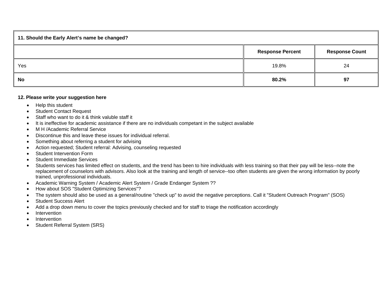| 11. Should the Early Alert's name be changed? |                         |                       |
|-----------------------------------------------|-------------------------|-----------------------|
|                                               | <b>Response Percent</b> | <b>Response Count</b> |
| Yes                                           | 19.8%                   | 24                    |
| <b>No</b>                                     | 80.2%                   | 97                    |

#### **12. Please write your suggestion here**

- Help this student
- Student Contact Request
- Staff who want to do it & think valuble staff it
- It is ineffective for academic assistance if there are no individuals competant in the subject available
- M H /Academic Referral Service
- Discontinue this and leave these issues for individual referral.
- Something about referring a student for advising
- Action requested; Student referral: Advising, counseling requested
- **Student Intervention Form**
- Student Immediate Services
- Students services has limited effect on students, and the trend has been to hire individuals with less training so that their pay will be less--note the replacement of counselors with advisors. Also look at the training and length of service--too often students are given the wrong information by poorly trained, unprofessional individuals.
- Academic Warning System / Academic Alert System / Grade Endanger System ??
- How about SOS "Student Optimizing Services"?
- The system should also be used as a general/routine "check up" to avoid the negative perceptions. Call it "Student Outreach Program" (SOS)
- Student Success Alert
- Add a drop down menu to cover the topics previously checked and for staff to triage the notification accordingly
- Intervention
- **Intervention**
- Student Referral System (SRS)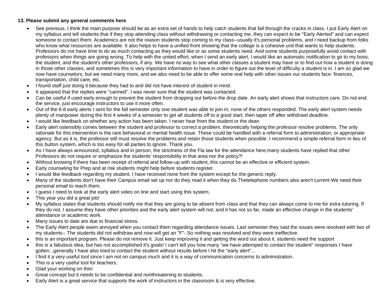### **13. Please submit any general comments here**

- See previous. I think the main purpose should be as an extra set of hands to help catch students that fall through the cracks in class. I put Early Alert on my syllabus and tell students that if they stop attending class without withdrawing or contacting me, they can expect to be "Early Alerted" and can expect someone to contact them. Academics are not the reason students stop coming to my class--usually it's personal problems, and I need backup from folks who know what resources are available. It also helps to have a unified front showing that the college is a cohesive unit that wants to help students. Professors do not have time to do as much contacting as they would like or as some students need. And some students purposefully avoid contact with professors when things are going wrong. To help with the united effort, when I send an early alert, I would like an automatic notification to go to my boss, the student, and the student's other professors, if any. We have no way to see what other classes a student may have or to find out how a student is doing in those other classes, and sometimes this is very important information to have in order to figure out the level of difficulty a student is in. I am so glad we now have counselors, but we need many more, and we also need to be able to offer some real help with other issues our students face: finances, transportation, child care, etc.
- I found staff just doing it because they had to and did not have interest of student in mind.
- It appeared that the replies were "canned". I was never sure that the student was contacted.
- Can be useful if used early enough to prevent the student from dropping out before the drop date. An early alert shows that instructors care. Do not end the service, just encourage instructors to use it more often.
- Out of the 6-8 early alerts I sent for the fall semester only one student was able to join in; none of the others responded. The early alert system needs plenty of manpower during the first 4 weeks of a semester to get all students off to a good start, then taper off after withdrawl deadline.
- I would like feedback on whether any action has been taken. I never hear from the student or the dean
- Early alert ostensibly comes between the student and professor to correct a problem, theoretically helping the professor resolve problems. The only rationale for this intervention is the rare behavioral or mental health issue. These could be handled with a referral form to administration, or appropriate agency. But as it is, the professor still must resolve the problems and retain those students when possible. I recommend a simple referral form in lieu of this button system, which is too easy for all parties to ignore. Thank you.
- As I have always announced, syllabus and in person, the strictness of the Fla law for the attendance here;many students have replied that other Professors do not require or emphasize the students' responsibility in that area nor the policy?!
- Without knowing if there has been receipt of referral and follow-up with student, this cannot be an effective or efficient system.
- Early counseling for Prep and at risk students might help before students register.
- I would like feedback regarding my student. I have received none from the system except for the generic reply.
- Many of the students don't have their Campus email set up nor do they read it when they do.Thetelephone numbers also aren't current We need their personal email to reach them.
- I guess I need to look at the early alert video on line and start using this system.
- This year you did a great job!
- My syllabus states that students should notify me that they are going to be absent from class and that they can always come to me for extra tutoring. If they do not, I assume they have other priorities and the early alert system will not, and it has not so far, made an effective change in the students' attendance or academic work.
- Many issues to date are due to financial stress.
- The Early Alert people seem annoyed when you contact them regarding attendance issues. Last semester they said the issues were resolved with two of my students-- The students did not withdraw and now will get an "F"- So nothing was resolved and they were ineffective.
- this is an important program. Please do not remove it. Just keep improving it and getting the word out about it. students need the support
- this is a fabulous idea, but has not accomplished it's goals! I can't tell you how many "we have attemped to contact the student" responses I have gotten...generally I have also tried to contact the student without results before I hit the "early alert"...
- I find it a very useful tool since I am not on campus much and it is a way of communication concerns to administration.
- This is a very useful tool for teachers.
- Glad your working on this!
- Great concept but it needs to be confidential and nonthreatening to students.
- Early Alert is a great service that supports the work of instructors in the classroom & is very effective.